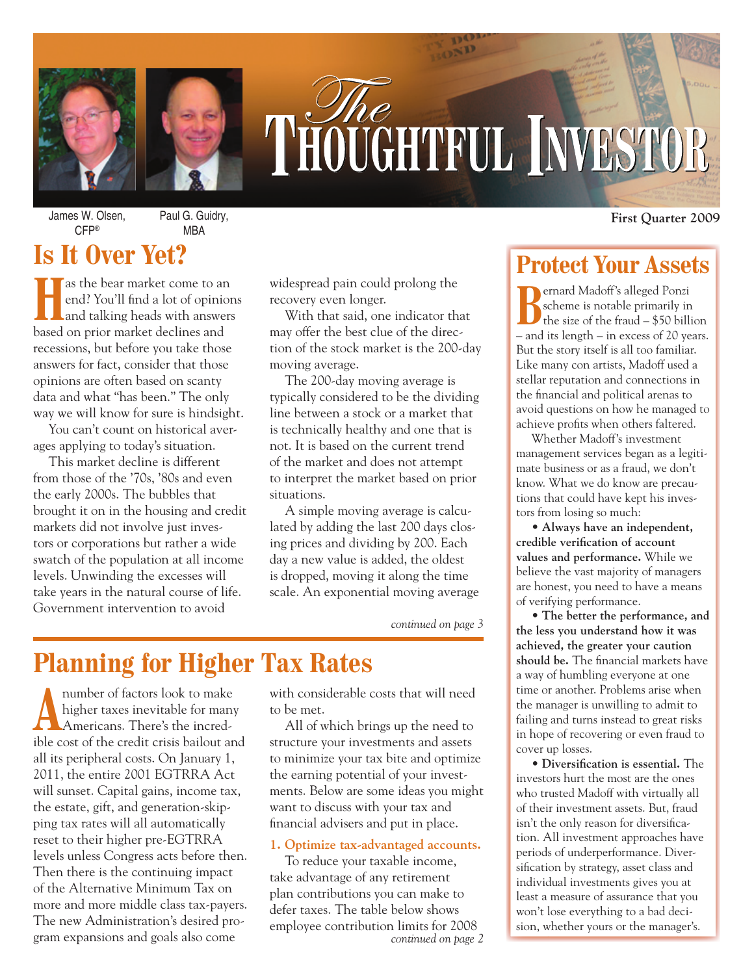

# THOUGHTFUL INVESTOR

James W. Olsen, CFP®

Paul G. Guidry, MBA

## **Is It Over Yet?**

**Has the bear market come to an end? You'll find a lot of opinion and talking heads with answers** end? You'll find a lot of opinions and talking heads with answers based on prior market declines and recessions, but before you take those answers for fact, consider that those opinions are often based on scanty data and what "has been." The only way we will know for sure is hindsight.

You can't count on historical averages applying to today's situation.

This market decline is different from those of the '70s, '80s and even the early 2000s. The bubbles that brought it on in the housing and credit markets did not involve just investors or corporations but rather a wide swatch of the population at all income levels. Unwinding the excesses will take years in the natural course of life. Government intervention to avoid

widespread pain could prolong the recovery even longer.

With that said, one indicator that may offer the best clue of the direction of the stock market is the 200-day moving average.

The 200-day moving average is typically considered to be the dividing line between a stock or a market that is technically healthy and one that is not. It is based on the current trend of the market and does not attempt to interpret the market based on prior situations.

A simple moving average is calculated by adding the last 200 days closing prices and dividing by 200. Each day a new value is added, the oldest is dropped, moving it along the time scale. An exponential moving average

*continued on page 3*

## **Planning for Higher Tax Rates**

A number of factors look to make<br>higher taxes inevitable for many<br>Americans. There's the incredhigher taxes inevitable for many Americans. There's the incredible cost of the credit crisis bailout and all its peripheral costs. On January 1, 2011, the entire 2001 EGTRRA Act will sunset. Capital gains, income tax, the estate, gift, and generation-skipping tax rates will all automatically reset to their higher pre-EGTRRA levels unless Congress acts before then. Then there is the continuing impact of the Alternative Minimum Tax on more and more middle class tax-payers. The new Administration's desired program expansions and goals also come

with considerable costs that will need to be met.

All of which brings up the need to structure your investments and assets to minimize your tax bite and optimize the earning potential of your investments. Below are some ideas you might want to discuss with your tax and financial advisers and put in place.

#### **1. Optimize tax-advantaged accounts.**

To reduce your taxable income, take advantage of any retirement plan contributions you can make to defer taxes. The table below shows employee contribution limits for 2008 *continued on page 2* **First Quarter 2009**

## **Protect Your Assets**

**B**ernard Madoff's alleged Ponzi scheme is notable primarily in the size of the fraud – \$50 billion – and its length – in excess of 20 years. But the story itself is all too familiar. Like many con artists, Madoff used a stellar reputation and connections in the financial and political arenas to avoid questions on how he managed to achieve profits when others faltered.

Whether Madoff's investment management services began as a legitimate business or as a fraud, we don't know. What we do know are precautions that could have kept his investors from losing so much:

• **Always have an independent,**  credible verification of account **values and performance.** While we believe the vast majority of managers are honest, you need to have a means of verifying performance.

• **The better the performance, and the less you understand how it was achieved, the greater your caution**  should be. The financial markets have a way of humbling everyone at one time or another. Problems arise when the manager is unwilling to admit to failing and turns instead to great risks in hope of recovering or even fraud to cover up losses.

• Diversification is essential. The investors hurt the most are the ones who trusted Madoff with virtually all of their investment assets. But, fraud isn't the only reason for diversification. All investment approaches have periods of underperformance. Diversification by strategy, asset class and individual investments gives you at least a measure of assurance that you won't lose everything to a bad decision, whether yours or the manager's.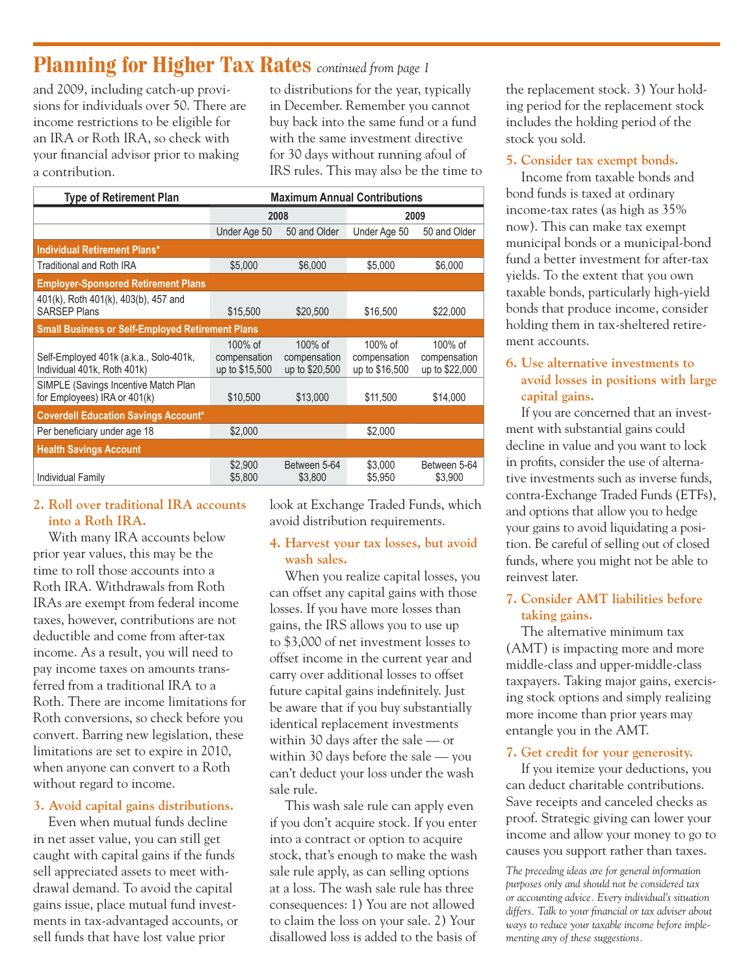## **Planning for Higher Tax Rates** *continued from page 1*

and 2009, including catch-up provisions for individuals over 50. There are income restrictions to be eligible for an IRA or Roth IRA, so check with your financial advisor prior to making a contribution.

to distributions for the year, typically in December. Remember you cannot buy back into the same fund or a fund with the same investment directive for 30 days without running afoul of IRS rules. This may also be the time to

| <b>Type of Retirement Plan</b>                                        | <b>Maximum Annual Contributions</b>          |                                              |                                              |                                              |  |
|-----------------------------------------------------------------------|----------------------------------------------|----------------------------------------------|----------------------------------------------|----------------------------------------------|--|
|                                                                       | 2008                                         |                                              | 2009                                         |                                              |  |
|                                                                       | Under Age 50                                 | 50 and Older                                 | Under Age 50                                 | 50 and Older                                 |  |
| <b>Individual Retirement Plans*</b>                                   |                                              |                                              |                                              |                                              |  |
| <b>Traditional and Roth IRA</b>                                       | \$5,000                                      | \$6,000                                      | \$5,000                                      | \$6,000                                      |  |
| <b>Employer-Sponsored Retirement Plans</b>                            |                                              |                                              |                                              |                                              |  |
| 401(k), Roth 401(k), 403(b), 457 and<br><b>SARSEP Plans</b>           | \$15,500                                     | \$20,500                                     | \$16,500                                     | \$22,000                                     |  |
| <b>Small Business or Self-Employed Retirement Plans</b>               |                                              |                                              |                                              |                                              |  |
| Self-Employed 401k (a.k.a., Solo-401k,<br>Individual 401k, Roth 401k) | $100\%$ of<br>compensation<br>up to \$15,500 | $100\%$ of<br>compensation<br>up to \$20,500 | $100\%$ of<br>compensation<br>up to \$16,500 | $100\%$ of<br>compensation<br>up to \$22,000 |  |
| SIMPLE (Savings Incentive Match Plan<br>for Employees) IRA or 401(k)  | \$10,500                                     | \$13,000                                     | \$11.500                                     | \$14,000                                     |  |
| <b>Coverdell Education Savings Account*</b>                           |                                              |                                              |                                              |                                              |  |
| Per beneficiary under age 18                                          | \$2,000                                      |                                              | \$2,000                                      |                                              |  |
| <b>Health Savings Account</b>                                         |                                              |                                              |                                              |                                              |  |
| Individual Family                                                     | \$2,900<br>\$5,800                           | Between 5-64<br>\$3,800                      | \$3,000<br>\$5,950                           | Between 5-64<br>\$3,900                      |  |

#### **2. Roll over traditional IRA accounts into a Roth IRA.**

With many IRA accounts below prior year values, this may be the time to roll those accounts into a Roth IRA. Withdrawals from Roth IRAs are exempt from federal income taxes, however, contributions are not deductible and come from after-tax income. As a result, you will need to pay income taxes on amounts transferred from a traditional IRA to a Roth. There are income limitations for Roth conversions, so check before you convert. Barring new legislation, these limitations are set to expire in 2010, when anyone can convert to a Roth without regard to income.

#### **3. Avoid capital gains distributions.**

Even when mutual funds decline in net asset value, you can still get caught with capital gains if the funds sell appreciated assets to meet withdrawal demand. To avoid the capital gains issue, place mutual fund investments in tax-advantaged accounts, or sell funds that have lost value prior

look at Exchange Traded Funds, which avoid distribution requirements.

#### **4. Harvest your tax losses, but avoid wash sales.**

When you realize capital losses, you can offset any capital gains with those losses. If you have more losses than gains, the IRS allows you to use up to \$3,000 of net investment losses to offset income in the current year and carry over additional losses to offset future capital gains indefinitely. Just be aware that if you buy substantially identical replacement investments within 30 days after the sale — or within 30 days before the sale — you can't deduct your loss under the wash sale rule.

This wash sale rule can apply even if you don't acquire stock. If you enter into a contract or option to acquire stock, that's enough to make the wash sale rule apply, as can selling options at a loss. The wash sale rule has three consequences: 1) You are not allowed to claim the loss on your sale. 2) Your disallowed loss is added to the basis of

the replacement stock. 3) Your holding period for the replacement stock includes the holding period of the stock you sold.

#### **5. Consider tax exempt bonds.**

Income from taxable bonds and bond funds is taxed at ordinary income-tax rates (as high as 35% now). This can make tax exempt municipal bonds or a municipal-bond fund a better investment for after-tax yields. To the extent that you own taxable bonds, particularly high-yield bonds that produce income, consider holding them in tax-sheltered retirement accounts.

#### **6. Use alternative investments to avoid losses in positions with large capital gains.**

If you are concerned that an investment with substantial gains could decline in value and you want to lock in profits, consider the use of alternative investments such as inverse funds, contra-Exchange Traded Funds (ETFs), and options that allow you to hedge your gains to avoid liquidating a position. Be careful of selling out of closed funds, where you might not be able to reinvest later.

#### **7. Consider AMT liabilities before taking gains.**

The alternative minimum tax (AMT) is impacting more and more middle-class and upper-middle-class taxpayers. Taking major gains, exercising stock options and simply realizing more income than prior years may entangle you in the AMT.

#### **7. Get credit for your generosity.**

If you itemize your deductions, you can deduct charitable contributions. Save receipts and canceled checks as proof. Strategic giving can lower your income and allow your money to go to causes you support rather than taxes.

*The preceding ideas are for general information purposes only and should not be considered tax or accounting advice. Every individual's situation*  differs. Talk to your financial or tax adviser about *ways to reduce your taxable income before implementing any of these suggestions.*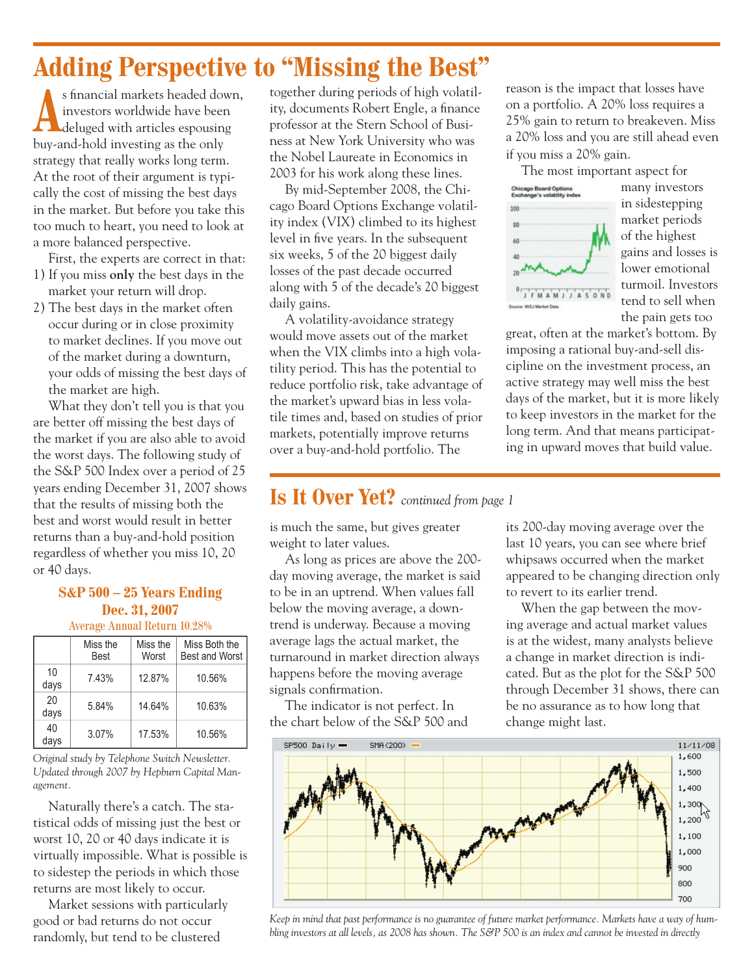## **Adding Perspective to "Missing the Best"**

s financial markets headed down, investors worldwide have been deluged with articles espousing buy-and-hold investing as the only strategy that really works long term. At the root of their argument is typically the cost of missing the best days in the market. But before you take this too much to heart, you need to look at a more balanced perspective.

First, the experts are correct in that:

- 1) If you miss **only** the best days in the market your return will drop.
- 2) The best days in the market often occur during or in close proximity to market declines. If you move out of the market during a downturn, your odds of missing the best days of the market are high.

What they don't tell you is that you are better off missing the best days of the market if you are also able to avoid the worst days. The following study of the S&P 500 Index over a period of 25 years ending December 31, 2007 shows that the results of missing both the best and worst would result in better returns than a buy-and-hold position regardless of whether you miss 10, 20 or 40 days.

#### **S&P 500 – 25 Years Ending Dec. 31, 2007** Average Annual Return 10.28%

|            | Miss the<br><b>Best</b> | Miss the<br>Worst | Miss Both the<br><b>Best and Worst</b> |
|------------|-------------------------|-------------------|----------------------------------------|
| 10<br>days | 7.43%                   | 12.87%            | 10.56%                                 |
| 20<br>days | 5.84%                   | 14.64%            | 10.63%                                 |
| 40<br>days | 3.07%                   | 17.53%            | 10.56%                                 |

*Original study by Telephone Switch Newsletter. Updated through 2007 by Hepburn Capital Management.*

Naturally there's a catch. The statistical odds of missing just the best or worst 10, 20 or 40 days indicate it is virtually impossible. What is possible is to sidestep the periods in which those returns are most likely to occur.

Market sessions with particularly good or bad returns do not occur randomly, but tend to be clustered

together during periods of high volatility, documents Robert Engle, a finance professor at the Stern School of Business at New York University who was the Nobel Laureate in Economics in 2003 for his work along these lines.

By mid-September 2008, the Chicago Board Options Exchange volatility index (VIX) climbed to its highest level in five years. In the subsequent six weeks, 5 of the 20 biggest daily losses of the past decade occurred along with 5 of the decade's 20 biggest daily gains.

A volatility-avoidance strategy would move assets out of the market when the VIX climbs into a high volatility period. This has the potential to reduce portfolio risk, take advantage of the market's upward bias in less volatile times and, based on studies of prior markets, potentially improve returns over a buy-and-hold portfolio. The

## **Is It Over Yet?** *continued from page 1*

is much the same, but gives greater weight to later values.

As long as prices are above the 200 day moving average, the market is said to be in an uptrend. When values fall below the moving average, a downtrend is underway. Because a moving average lags the actual market, the turnaround in market direction always happens before the moving average signals confirmation.

The indicator is not perfect. In the chart below of the S&P 500 and reason is the impact that losses have on a portfolio. A 20% loss requires a 25% gain to return to breakeven. Miss a 20% loss and you are still ahead even if you miss a 20% gain.

The most important aspect for



many investors in sidestepping market periods of the highest gains and losses is lower emotional turmoil. Investors tend to sell when the pain gets too

great, often at the market's bottom. By imposing a rational buy-and-sell discipline on the investment process, an active strategy may well miss the best days of the market, but it is more likely to keep investors in the market for the long term. And that means participating in upward moves that build value.

its 200-day moving average over the last 10 years, you can see where brief whipsaws occurred when the market appeared to be changing direction only to revert to its earlier trend.

When the gap between the moving average and actual market values is at the widest, many analysts believe a change in market direction is indicated. But as the plot for the S&P 500 through December 31 shows, there can be no assurance as to how long that change might last.



*Keep in mind that past performance is no guarantee of future market performance. Markets have a way of humbling investors at all levels, as 2008 has shown. The S&P 500 is an index and cannot be invested in directly*